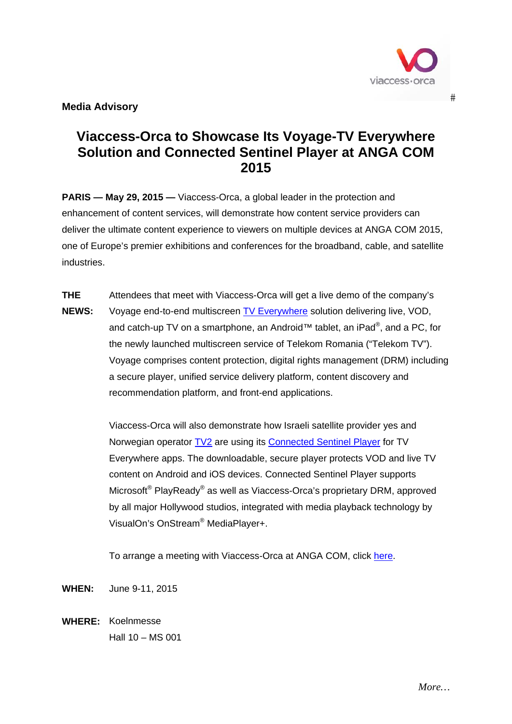

 $#$ 

**Media Advisory** 

## **Viaccess-Orca to Showcase Its Voyage-TV Everywhere Solution and Connected Sentinel Player at ANGA COM 2015**

**PARIS — May 29, 2015 —** Viaccess-Orca, a global leader in the protection and enhancement of content services, will demonstrate how content service providers can deliver the ultimate content experience to viewers on multiple devices at ANGA COM 2015, one of Europe's premier exhibitions and conferences for the broadband, cable, and satellite industries.

**THE NEWS:**  Attendees that meet with Viaccess-Orca will get a live demo of the company's Voyage end-to-end multiscreen TV Everywhere solution delivering live, VOD, and catch-up TV on a smartphone, an Android™ tablet, an iPad®, and a PC, for the newly launched multiscreen service of Telekom Romania ("Telekom TV"). Voyage comprises content protection, digital rights management (DRM) including a secure player, unified service delivery platform, content discovery and recommendation platform, and front-end applications.

> Viaccess-Orca will also demonstrate how Israeli satellite provider yes and Norwegian operator **TV2** are using its **Connected Sentinel Player** for TV Everywhere apps. The downloadable, secure player protects VOD and live TV content on Android and iOS devices. Connected Sentinel Player supports Microsoft<sup>®</sup> PlayReady<sup>®</sup> as well as Viaccess-Orca's proprietary DRM, approved by all major Hollywood studios, integrated with media playback technology by VisualOn's OnStream® MediaPlayer+.

To arrange a meeting with Viaccess-Orca at ANGA COM, click here.

**WHEN:** June 9-11, 2015

**WHERE:** Koelnmesse Hall 10 – MS 001